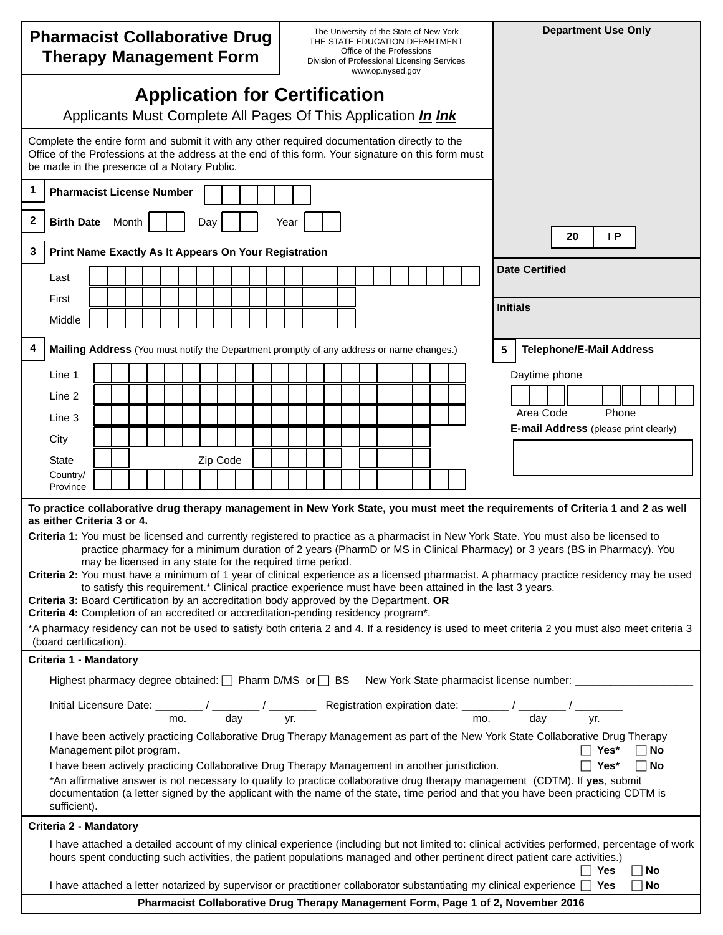| <b>Pharmacist Collaborative Drug</b><br><b>Therapy Management Form</b>                                                                                                                                                                                                                                                                                                                                                                                                                                                                                                                                                           |                                                                                                                                                                                                                                                                                                                    |                                                                                   |  |  |  |  |  |  | The University of the State of New York<br>THE STATE EDUCATION DEPARTMENT<br>Office of the Professions<br>Division of Professional Licensing Services<br>www.op.nysed.gov |  |  |  |          |                       |  |  |  |  | <b>Department Use Only</b> |  |  |  |  |                                       |           |  |       |  |  |  |
|----------------------------------------------------------------------------------------------------------------------------------------------------------------------------------------------------------------------------------------------------------------------------------------------------------------------------------------------------------------------------------------------------------------------------------------------------------------------------------------------------------------------------------------------------------------------------------------------------------------------------------|--------------------------------------------------------------------------------------------------------------------------------------------------------------------------------------------------------------------------------------------------------------------------------------------------------------------|-----------------------------------------------------------------------------------|--|--|--|--|--|--|---------------------------------------------------------------------------------------------------------------------------------------------------------------------------|--|--|--|----------|-----------------------|--|--|--|--|----------------------------|--|--|--|--|---------------------------------------|-----------|--|-------|--|--|--|
| <b>Application for Certification</b><br>Applicants Must Complete All Pages Of This Application <i>In Ink</i>                                                                                                                                                                                                                                                                                                                                                                                                                                                                                                                     |                                                                                                                                                                                                                                                                                                                    |                                                                                   |  |  |  |  |  |  |                                                                                                                                                                           |  |  |  |          |                       |  |  |  |  |                            |  |  |  |  |                                       |           |  |       |  |  |  |
| Complete the entire form and submit it with any other required documentation directly to the<br>Office of the Professions at the address at the end of this form. Your signature on this form must<br>be made in the presence of a Notary Public.                                                                                                                                                                                                                                                                                                                                                                                |                                                                                                                                                                                                                                                                                                                    |                                                                                   |  |  |  |  |  |  |                                                                                                                                                                           |  |  |  |          |                       |  |  |  |  |                            |  |  |  |  |                                       |           |  |       |  |  |  |
| 1                                                                                                                                                                                                                                                                                                                                                                                                                                                                                                                                                                                                                                | <b>Pharmacist License Number</b>                                                                                                                                                                                                                                                                                   |                                                                                   |  |  |  |  |  |  |                                                                                                                                                                           |  |  |  |          |                       |  |  |  |  |                            |  |  |  |  |                                       |           |  |       |  |  |  |
| 2                                                                                                                                                                                                                                                                                                                                                                                                                                                                                                                                                                                                                                | <b>Birth Date</b><br>Month<br>Day<br>Year                                                                                                                                                                                                                                                                          |                                                                                   |  |  |  |  |  |  |                                                                                                                                                                           |  |  |  |          |                       |  |  |  |  |                            |  |  |  |  |                                       |           |  |       |  |  |  |
| 3                                                                                                                                                                                                                                                                                                                                                                                                                                                                                                                                                                                                                                | Print Name Exactly As It Appears On Your Registration                                                                                                                                                                                                                                                              |                                                                                   |  |  |  |  |  |  |                                                                                                                                                                           |  |  |  | IP<br>20 |                       |  |  |  |  |                            |  |  |  |  |                                       |           |  |       |  |  |  |
|                                                                                                                                                                                                                                                                                                                                                                                                                                                                                                                                                                                                                                  | Last                                                                                                                                                                                                                                                                                                               |                                                                                   |  |  |  |  |  |  |                                                                                                                                                                           |  |  |  |          | <b>Date Certified</b> |  |  |  |  |                            |  |  |  |  |                                       |           |  |       |  |  |  |
|                                                                                                                                                                                                                                                                                                                                                                                                                                                                                                                                                                                                                                  | First                                                                                                                                                                                                                                                                                                              |                                                                                   |  |  |  |  |  |  |                                                                                                                                                                           |  |  |  |          |                       |  |  |  |  |                            |  |  |  |  | <b>Initials</b>                       |           |  |       |  |  |  |
|                                                                                                                                                                                                                                                                                                                                                                                                                                                                                                                                                                                                                                  | Middle                                                                                                                                                                                                                                                                                                             |                                                                                   |  |  |  |  |  |  |                                                                                                                                                                           |  |  |  |          |                       |  |  |  |  |                            |  |  |  |  |                                       |           |  |       |  |  |  |
| 4                                                                                                                                                                                                                                                                                                                                                                                                                                                                                                                                                                                                                                | 5<br><b>Telephone/E-Mail Address</b><br>Mailing Address (You must notify the Department promptly of any address or name changes.)                                                                                                                                                                                  |                                                                                   |  |  |  |  |  |  |                                                                                                                                                                           |  |  |  |          |                       |  |  |  |  |                            |  |  |  |  |                                       |           |  |       |  |  |  |
|                                                                                                                                                                                                                                                                                                                                                                                                                                                                                                                                                                                                                                  | Line 1                                                                                                                                                                                                                                                                                                             |                                                                                   |  |  |  |  |  |  |                                                                                                                                                                           |  |  |  |          |                       |  |  |  |  |                            |  |  |  |  | Daytime phone                         |           |  |       |  |  |  |
|                                                                                                                                                                                                                                                                                                                                                                                                                                                                                                                                                                                                                                  | Line 2                                                                                                                                                                                                                                                                                                             |                                                                                   |  |  |  |  |  |  |                                                                                                                                                                           |  |  |  |          |                       |  |  |  |  |                            |  |  |  |  |                                       | Area Code |  | Phone |  |  |  |
|                                                                                                                                                                                                                                                                                                                                                                                                                                                                                                                                                                                                                                  | Line 3                                                                                                                                                                                                                                                                                                             |                                                                                   |  |  |  |  |  |  |                                                                                                                                                                           |  |  |  |          |                       |  |  |  |  |                            |  |  |  |  | E-mail Address (please print clearly) |           |  |       |  |  |  |
|                                                                                                                                                                                                                                                                                                                                                                                                                                                                                                                                                                                                                                  | City<br><b>State</b>                                                                                                                                                                                                                                                                                               |                                                                                   |  |  |  |  |  |  | Zip Code                                                                                                                                                                  |  |  |  |          |                       |  |  |  |  |                            |  |  |  |  |                                       |           |  |       |  |  |  |
|                                                                                                                                                                                                                                                                                                                                                                                                                                                                                                                                                                                                                                  | Country/                                                                                                                                                                                                                                                                                                           |                                                                                   |  |  |  |  |  |  |                                                                                                                                                                           |  |  |  |          |                       |  |  |  |  |                            |  |  |  |  |                                       |           |  |       |  |  |  |
|                                                                                                                                                                                                                                                                                                                                                                                                                                                                                                                                                                                                                                  | Province<br>To practice collaborative drug therapy management in New York State, you must meet the requirements of Criteria 1 and 2 as well<br>as either Criteria 3 or 4.<br>Criteria 1: You must be licensed and currently registered to practice as a pharmacist in New York State. You must also be licensed to |                                                                                   |  |  |  |  |  |  |                                                                                                                                                                           |  |  |  |          |                       |  |  |  |  |                            |  |  |  |  |                                       |           |  |       |  |  |  |
| practice pharmacy for a minimum duration of 2 years (PharmD or MS in Clinical Pharmacy) or 3 years (BS in Pharmacy). You<br>may be licensed in any state for the required time period.<br>Criteria 2: You must have a minimum of 1 year of clinical experience as a licensed pharmacist. A pharmacy practice residency may be used<br>to satisfy this requirement.* Clinical practice experience must have been attained in the last 3 years.<br>Criteria 3: Board Certification by an accreditation body approved by the Department. OR<br>Criteria 4: Completion of an accredited or accreditation-pending residency program*. |                                                                                                                                                                                                                                                                                                                    |                                                                                   |  |  |  |  |  |  |                                                                                                                                                                           |  |  |  |          |                       |  |  |  |  |                            |  |  |  |  |                                       |           |  |       |  |  |  |
|                                                                                                                                                                                                                                                                                                                                                                                                                                                                                                                                                                                                                                  | *A pharmacy residency can not be used to satisfy both criteria 2 and 4. If a residency is used to meet criteria 2 you must also meet criteria 3                                                                                                                                                                    |                                                                                   |  |  |  |  |  |  |                                                                                                                                                                           |  |  |  |          |                       |  |  |  |  |                            |  |  |  |  |                                       |           |  |       |  |  |  |
| (board certification).<br>Criteria 1 - Mandatory                                                                                                                                                                                                                                                                                                                                                                                                                                                                                                                                                                                 |                                                                                                                                                                                                                                                                                                                    |                                                                                   |  |  |  |  |  |  |                                                                                                                                                                           |  |  |  |          |                       |  |  |  |  |                            |  |  |  |  |                                       |           |  |       |  |  |  |
| Highest pharmacy degree obtained: T Pharm D/MS or T BS New York State pharmacist license number: _________                                                                                                                                                                                                                                                                                                                                                                                                                                                                                                                       |                                                                                                                                                                                                                                                                                                                    |                                                                                   |  |  |  |  |  |  |                                                                                                                                                                           |  |  |  |          |                       |  |  |  |  |                            |  |  |  |  |                                       |           |  |       |  |  |  |
| Initial Licensure Date: $\frac{1}{\text{mo.}}$ / $\frac{1}{\text{day}}$ Registration expiration date: $\frac{1}{\text{mo.}}$ / $\frac{1}{\text{day}}$ / $\frac{1}{\text{yo.}}$                                                                                                                                                                                                                                                                                                                                                                                                                                                   |                                                                                                                                                                                                                                                                                                                    |                                                                                   |  |  |  |  |  |  |                                                                                                                                                                           |  |  |  |          |                       |  |  |  |  |                            |  |  |  |  |                                       |           |  |       |  |  |  |
| I have been actively practicing Collaborative Drug Therapy Management as part of the New York State Collaborative Drug Therapy<br>$\Box$ Yes*<br>Management pilot program.<br>$\Box$ No<br>$\Box$ Yes*<br>I have been actively practicing Collaborative Drug Therapy Management in another jurisdiction.<br>$\Box$ No                                                                                                                                                                                                                                                                                                            |                                                                                                                                                                                                                                                                                                                    |                                                                                   |  |  |  |  |  |  |                                                                                                                                                                           |  |  |  |          |                       |  |  |  |  |                            |  |  |  |  |                                       |           |  |       |  |  |  |
| *An affirmative answer is not necessary to qualify to practice collaborative drug therapy management (CDTM). If yes, submit<br>documentation (a letter signed by the applicant with the name of the state, time period and that you have been practicing CDTM is<br>sufficient).                                                                                                                                                                                                                                                                                                                                                 |                                                                                                                                                                                                                                                                                                                    |                                                                                   |  |  |  |  |  |  |                                                                                                                                                                           |  |  |  |          |                       |  |  |  |  |                            |  |  |  |  |                                       |           |  |       |  |  |  |
| Criteria 2 - Mandatory                                                                                                                                                                                                                                                                                                                                                                                                                                                                                                                                                                                                           |                                                                                                                                                                                                                                                                                                                    |                                                                                   |  |  |  |  |  |  |                                                                                                                                                                           |  |  |  |          |                       |  |  |  |  |                            |  |  |  |  |                                       |           |  |       |  |  |  |
|                                                                                                                                                                                                                                                                                                                                                                                                                                                                                                                                                                                                                                  | I have attached a detailed account of my clinical experience (including but not limited to: clinical activities performed, percentage of work<br>hours spent conducting such activities, the patient populations managed and other pertinent direct patient care activities.)<br>ヿ Yes<br>$\Box$ No                |                                                                                   |  |  |  |  |  |  |                                                                                                                                                                           |  |  |  |          |                       |  |  |  |  |                            |  |  |  |  |                                       |           |  |       |  |  |  |
|                                                                                                                                                                                                                                                                                                                                                                                                                                                                                                                                                                                                                                  | I have attached a letter notarized by supervisor or practitioner collaborator substantiating my clinical experience $\Box$ Yes<br>$\Box$ No                                                                                                                                                                        |                                                                                   |  |  |  |  |  |  |                                                                                                                                                                           |  |  |  |          |                       |  |  |  |  |                            |  |  |  |  |                                       |           |  |       |  |  |  |
|                                                                                                                                                                                                                                                                                                                                                                                                                                                                                                                                                                                                                                  |                                                                                                                                                                                                                                                                                                                    | Pharmacist Collaborative Drug Therapy Management Form, Page 1 of 2, November 2016 |  |  |  |  |  |  |                                                                                                                                                                           |  |  |  |          |                       |  |  |  |  |                            |  |  |  |  |                                       |           |  |       |  |  |  |